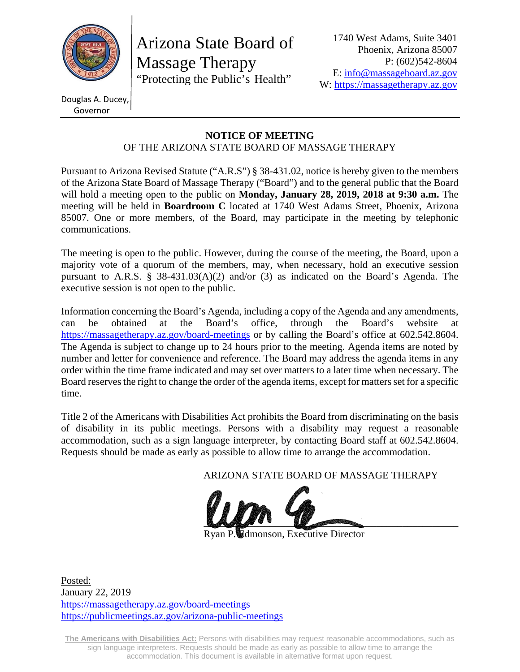

Arizona State Board of Massage Therapy "Protecting the Public's Health"

Douglas A. Ducey, Governor

#### **NOTICE OF MEETING**  OF THE ARIZONA STATE BOARD OF MASSAGE THERAPY

Pursuant to Arizona Revised Statute ("A.R.S") § 38-431.02, notice is hereby given to the members of the Arizona State Board of Massage Therapy ("Board") and to the general public that the Board will hold a meeting open to the public on **Monday, January 28, 2019, 2018 at 9:30 a.m.** The meeting will be held in **Boardroom C** located at 1740 West Adams Street, Phoenix, Arizona 85007. One or more members, of the Board, may participate in the meeting by telephonic communications.

The meeting is open to the public. However, during the course of the meeting, the Board, upon a majority vote of a quorum of the members, may, when necessary, hold an executive session pursuant to A.R.S. § 38-431.03(A)(2) and/or (3) as indicated on the Board's Agenda. The executive session is not open to the public.

Information concerning the Board's Agenda, including a copy of the Agenda and any amendments, can be obtained at the Board's office, through the Board's website at https://massagetherapy.az.gov/board-meetings or by calling the Board's office at 602.542.8604. The Agenda is subject to change up to 24 hours prior to the meeting. Agenda items are noted by number and letter for convenience and reference. The Board may address the agenda items in any order within the time frame indicated and may set over matters to a later time when necessary. The Board reserves the right to change the order of the agenda items, except for matters set for a specific time.

Title 2 of the Americans with Disabilities Act prohibits the Board from discriminating on the basis of disability in its public meetings. Persons with a disability may request a reasonable accommodation, such as a sign language interpreter, by contacting Board staff at 602.542.8604. Requests should be made as early as possible to allow time to arrange the accommodation.

ARIZONA STATE BOARD OF MASSAGE THERAPY



**Edmonson, Executive Director** 

Posted: January 22, 2019 https://massagetherapy.az.gov/board-meetings https://publicmeetings.az.gov/arizona-public-meetings

**The Americans with Disabilities Act:** Persons with disabilities may request reasonable accommodations, such as sign language interpreters. Requests should be made as early as possible to allow time to arrange the accommodation. This document is available in alternative format upon request.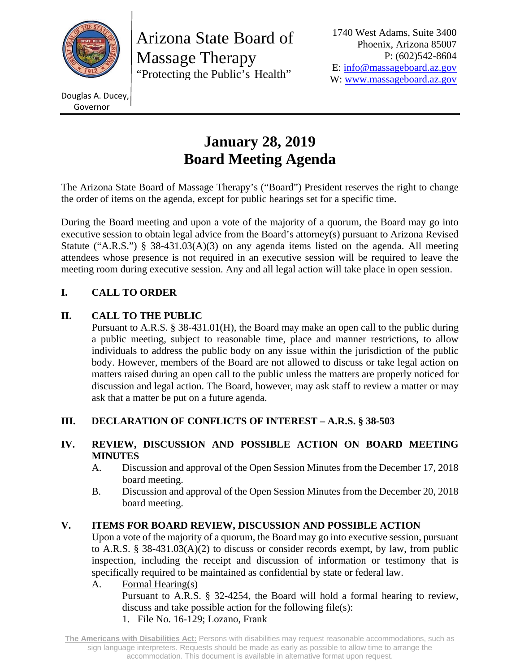

Arizona State Board of Massage Therapy "Protecting the Public's Health"

1740 West Adams, Suite 3400 Phoenix, Arizona 85007 P: (602)542-8604 E: info@massageboard.az.gov W: www.massageboard.az.gov

Douglas A. Ducey, Governor

# **January 28, 2019 Board Meeting Agenda**

The Arizona State Board of Massage Therapy's ("Board") President reserves the right to change the order of items on the agenda, except for public hearings set for a specific time.

During the Board meeting and upon a vote of the majority of a quorum, the Board may go into executive session to obtain legal advice from the Board's attorney(s) pursuant to Arizona Revised Statute ("A.R.S.") § 38-431.03(A)(3) on any agenda items listed on the agenda. All meeting attendees whose presence is not required in an executive session will be required to leave the meeting room during executive session. Any and all legal action will take place in open session.

# **I. CALL TO ORDER**

# **II. CALL TO THE PUBLIC**

 Pursuant to A.R.S. § 38-431.01(H), the Board may make an open call to the public during a public meeting, subject to reasonable time, place and manner restrictions, to allow individuals to address the public body on any issue within the jurisdiction of the public body. However, members of the Board are not allowed to discuss or take legal action on matters raised during an open call to the public unless the matters are properly noticed for discussion and legal action. The Board, however, may ask staff to review a matter or may ask that a matter be put on a future agenda.

# **III. DECLARATION OF CONFLICTS OF INTEREST – A.R.S. § 38-503**

## **IV. REVIEW, DISCUSSION AND POSSIBLE ACTION ON BOARD MEETING MINUTES**

- A. Discussion and approval of the Open Session Minutes from the December 17, 2018 board meeting.
- B. Discussion and approval of the Open Session Minutes from the December 20, 2018 board meeting.

# **V. ITEMS FOR BOARD REVIEW, DISCUSSION AND POSSIBLE ACTION**

Upon a vote of the majority of a quorum, the Board may go into executive session, pursuant to A.R.S. § 38-431.03(A)(2) to discuss or consider records exempt, by law, from public inspection, including the receipt and discussion of information or testimony that is specifically required to be maintained as confidential by state or federal law.

A. Formal Hearing(s)

Pursuant to A.R.S. § 32-4254, the Board will hold a formal hearing to review, discuss and take possible action for the following file(s):

1. File No. 16-129; Lozano, Frank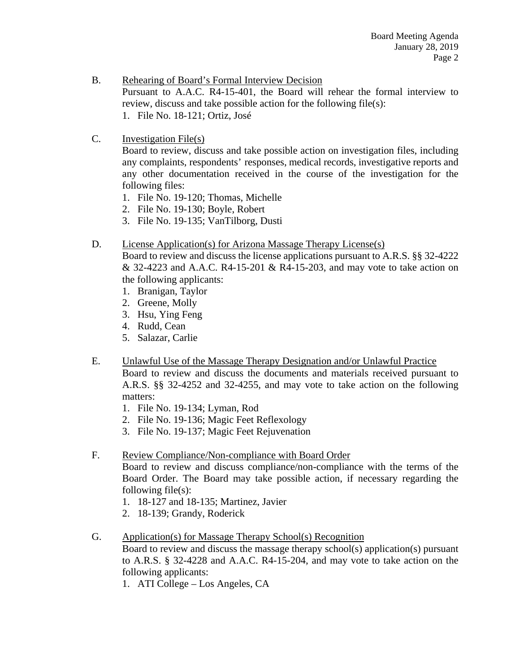- B. Rehearing of Board's Formal Interview Decision Pursuant to A.A.C. R4-15-401, the Board will rehear the formal interview to review, discuss and take possible action for the following file(s): 1. File No. 18-121; Ortiz, José
- C. Investigation File(s)

Board to review, discuss and take possible action on investigation files, including any complaints, respondents' responses, medical records, investigative reports and any other documentation received in the course of the investigation for the following files:

- 1. File No. 19-120; Thomas, Michelle
- 2. File No. 19-130; Boyle, Robert
- 3. File No. 19-135; VanTilborg, Dusti

#### D. License Application(s) for Arizona Massage Therapy License(s)

Board to review and discuss the license applications pursuant to A.R.S. §§ 32-4222 & 32-4223 and A.A.C. R4-15-201 & R4-15-203, and may vote to take action on the following applicants:

- 1. Branigan, Taylor
- 2. Greene, Molly
- 3. Hsu, Ying Feng
- 4. Rudd, Cean
- 5. Salazar, Carlie
- E. Unlawful Use of the Massage Therapy Designation and/or Unlawful Practice Board to review and discuss the documents and materials received pursuant to A.R.S. §§ 32-4252 and 32-4255, and may vote to take action on the following matters:
	- 1. File No. 19-134; Lyman, Rod
	- 2. File No. 19-136; Magic Feet Reflexology
	- 3. File No. 19-137; Magic Feet Rejuvenation

#### F. Review Compliance/Non-compliance with Board Order

Board to review and discuss compliance/non-compliance with the terms of the Board Order. The Board may take possible action, if necessary regarding the following file(s):

- 1. 18-127 and 18-135; Martinez, Javier
- 2. 18-139; Grandy, Roderick
- G. Application(s) for Massage Therapy School(s) Recognition

Board to review and discuss the massage therapy school(s) application(s) pursuant to A.R.S. § 32-4228 and A.A.C. R4-15-204, and may vote to take action on the following applicants:

1. ATI College – Los Angeles, CA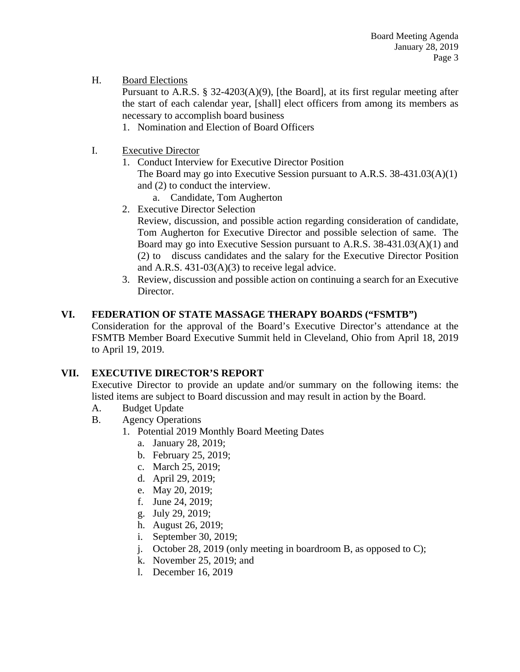#### H. Board Elections

Pursuant to A.R.S. § 32-4203(A)(9), [the Board], at its first regular meeting after the start of each calendar year, [shall] elect officers from among its members as necessary to accomplish board business

- 1. Nomination and Election of Board Officers
- I. Executive Director
	- 1. Conduct Interview for Executive Director Position

The Board may go into Executive Session pursuant to A.R.S. 38-431.03(A)(1) and (2) to conduct the interview.

- a. Candidate, Tom Augherton
- 2. Executive Director Selection

Review, discussion, and possible action regarding consideration of candidate, Tom Augherton for Executive Director and possible selection of same. The Board may go into Executive Session pursuant to A.R.S. 38-431.03(A)(1) and (2) to discuss candidates and the salary for the Executive Director Position and A.R.S. 431-03(A)(3) to receive legal advice.

3. Review, discussion and possible action on continuing a search for an Executive Director.

## **VI. FEDERATION OF STATE MASSAGE THERAPY BOARDS ("FSMTB")**

Consideration for the approval of the Board's Executive Director's attendance at the FSMTB Member Board Executive Summit held in Cleveland, Ohio from April 18, 2019 to April 19, 2019.

# **VII. EXECUTIVE DIRECTOR'S REPORT**

Executive Director to provide an update and/or summary on the following items: the listed items are subject to Board discussion and may result in action by the Board.

- A. Budget Update
- B. Agency Operations
	- 1. Potential 2019 Monthly Board Meeting Dates
		- a. January 28, 2019;
		- b. February 25, 2019;
		- c. March 25, 2019;
		- d. April 29, 2019;
		- e. May 20, 2019;
		- f. June 24, 2019;
		- g. July 29, 2019;
		- h. August 26, 2019;
		- i. September 30, 2019;
		- j. October 28, 2019 (only meeting in boardroom B, as opposed to C);
		- k. November 25, 2019; and
		- l. December 16, 2019